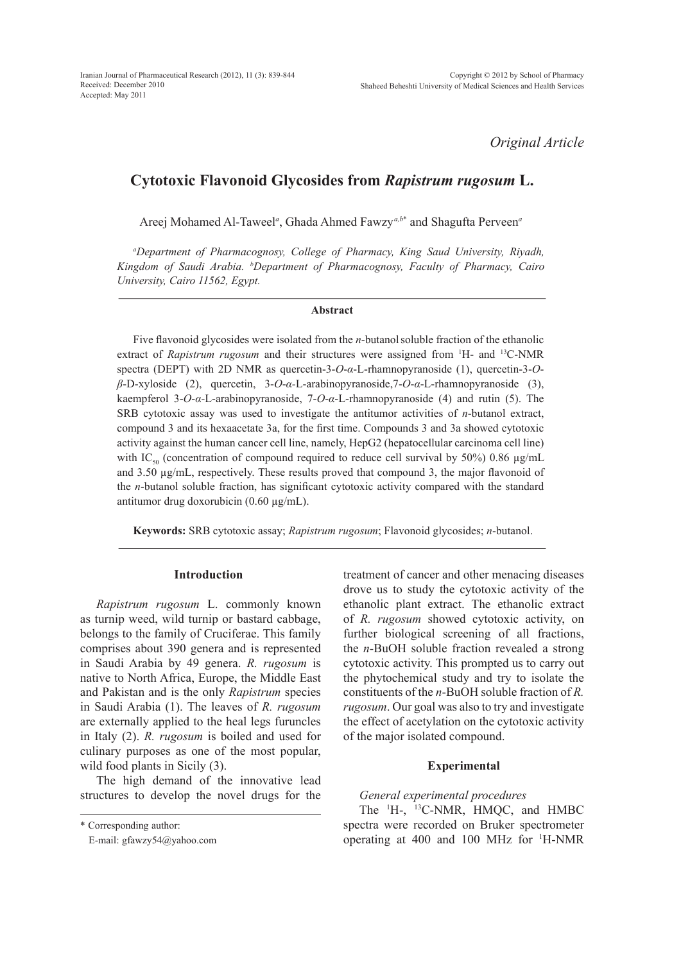*Original Article*

# **Cytotoxic Flavonoid Glycosides from** *Rapistrum rugosum* **L.**

Areej Mohamed Al-Taweel*<sup>a</sup>* , Ghada Ahmed Fawzy*a,b*\* and Shagufta Perveen*<sup>a</sup>*

*a Department of Pharmacognosy, College of Pharmacy, King Saud University, Riyadh, Kingdom of Saudi Arabia. b Department of Pharmacognosy, Faculty of Pharmacy, Cairo University, Cairo 11562, Egypt.*

## **Abstract**

Five flavonoid glycosides were isolated from the *n*-butanol soluble fraction of the ethanolic extract of *Rapistrum rugosum* and their structures were assigned from <sup>1</sup>H- and <sup>13</sup>C-NMR spectra (DEPT) with 2D NMR as quercetin-3-*O*-*α*-L-rhamnopyranoside (1), quercetin-3-*Oβ*-D-xyloside (2), quercetin, 3-*O*-*α-*L-arabinopyranoside,7-*O*-*α*-L-rhamnopyranoside (3), kaempferol 3-*O*-*α-*L-arabinopyranoside, 7-*O*-*α*-L-rhamnopyranoside (4) and rutin (5). The SRB cytotoxic assay was used to investigate the antitumor activities of *n*-butanol extract, compound 3 and its hexaacetate 3a, for the first time. Compounds 3 and 3a showed cytotoxic activity against the human cancer cell line, namely, HepG2 (hepatocellular carcinoma cell line) with IC<sub>50</sub> (concentration of compound required to reduce cell survival by 50%) 0.86  $\mu$ g/mL and 3.50 µg/mL, respectively. These results proved that compound 3, the major flavonoid of the *n*-butanol soluble fraction, has significant cytotoxic activity compared with the standard antitumor drug doxorubicin (0.60 µg/mL).

**Keywords:** SRB cytotoxic assay; *Rapistrum rugosum*; Flavonoid glycosides; *n*-butanol.

## **Introduction**

*Rapistrum rugosum* L. commonly known as turnip weed, wild turnip or bastard cabbage, belongs to the family of Cruciferae. This family comprises about 390 genera and is represented in Saudi Arabia by 49 genera. *R. rugosum* is native to North Africa, Europe, the Middle East and Pakistan and is the only *Rapistrum* species in Saudi Arabia (1). The leaves of *R. rugosum*  are externally applied to the heal legs furuncles in Italy (2). *R. rugosum* is boiled and used for culinary purposes as one of the most popular, wild food plants in Sicily (3).

The high demand of the innovative lead structures to develop the novel drugs for the treatment of cancer and other menacing diseases drove us to study the cytotoxic activity of the ethanolic plant extract. The ethanolic extract of *R. rugosum* showed cytotoxic activity, on further biological screening of all fractions, the *n*-BuOH soluble fraction revealed a strong cytotoxic activity. This prompted us to carry out the phytochemical study and try to isolate the constituents of the *n*-BuOH soluble fraction of *R. rugosum*. Our goal was also to try and investigate the effect of acetylation on the cytotoxic activity of the major isolated compound.

## **Experimental**

## *General experimental procedures*

The <sup>1</sup>H-, <sup>13</sup>C-NMR, HMQC, and HMBC spectra were recorded on Bruker spectrometer operating at 400 and 100 MHz for <sup>1</sup> H-NMR

<sup>\*</sup> Corresponding author:

E-mail: gfawzy54@yahoo.com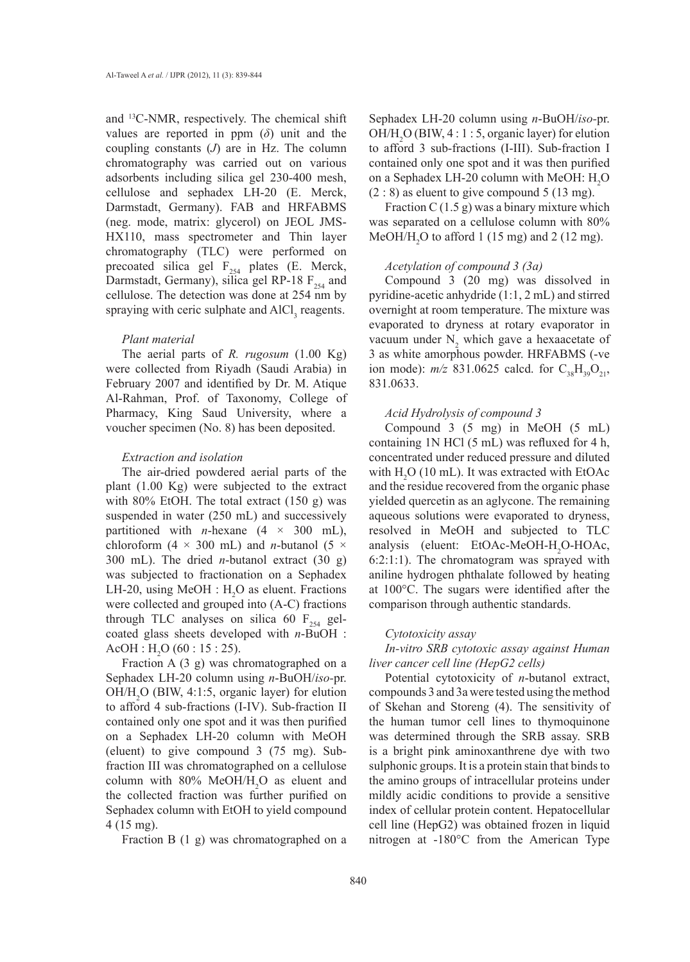and 13C-NMR, respectively. The chemical shift values are reported in ppm (*δ*) unit and the coupling constants (*J*) are in Hz. The column chromatography was carried out on various adsorbents including silica gel 230-400 mesh, cellulose and sephadex LH-20 (E. Merck, Darmstadt, Germany). FAB and HRFABMS (neg. mode, matrix: glycerol) on JEOL JMS-HX110, mass spectrometer and Thin layer chromatography (TLC) were performed on precoated silica gel  $F_{254}$  plates (E. Merck, Darmstadt, Germany), silica gel RP-18  $F_{254}$  and cellulose. The detection was done at 254 nm by spraying with ceric sulphate and  $AICI_3$  reagents.

#### *Plant material*

The aerial parts of *R. rugosum* (1.00 Kg) were collected from Riyadh (Saudi Arabia) in February 2007 and identified by Dr. M. Atique Al-Rahman, Prof. of Taxonomy, College of Pharmacy, King Saud University, where a voucher specimen (No. 8) has been deposited.

## *Extraction and isolation*

The air-dried powdered aerial parts of the plant (1.00 Kg) were subjected to the extract with 80% EtOH. The total extract (150 g) was suspended in water (250 mL) and successively partitioned with *n*-hexane  $(4 \times 300 \text{ mL})$ , chloroform (4  $\times$  300 mL) and *n*-butanol (5  $\times$ 300 mL). The dried *n*-butanol extract (30 g) was subjected to fractionation on a Sephadex LH-20, using MeOH :  $H_2O$  as eluent. Fractions were collected and grouped into (A-C) fractions through TLC analyses on silica 60  $F_{254}$  gelcoated glass sheets developed with *n*-BuOH :  $AcOH$  : H<sub>2</sub>O (60 : 15 : 25).

Fraction A (3 g) was chromatographed on a Sephadex LH-20 column using *n*-BuOH/*iso-*pr. OH/H<sub>2</sub>O (BIW, 4:1:5, organic layer) for elution to afford 4 sub-fractions (I-IV). Sub-fraction II contained only one spot and it was then purified on a Sephadex LH-20 column with MeOH (eluent) to give compound 3 (75 mg). Subfraction III was chromatographed on a cellulose column with  $80\%$  MeOH/H<sub>2</sub>O as eluent and the collected fraction was further purified on Sephadex column with EtOH to yield compound 4 (15 mg).

Fraction B (1 g) was chromatographed on a

Sephadex LH-20 column using *n*-BuOH/*iso-*pr.  $OH/H<sub>2</sub>O (BIW, 4:1:5, organic layer)$  for elution to afford 3 sub-fractions (I-III). Sub-fraction I contained only one spot and it was then purified on a Sephadex LH-20 column with MeOH:  $H_2O$  $(2: 8)$  as eluent to give compound 5 (13 mg).

Fraction C  $(1.5 g)$  was a binary mixture which was separated on a cellulose column with 80% MeOH/H<sub>2</sub>O to afford 1 (15 mg) and 2 (12 mg).

#### *Acetylation of compound 3 (3a)*

Compound 3 (20 mg) was dissolved in pyridine-acetic anhydride (1:1, 2 mL) and stirred overnight at room temperature. The mixture was evaporated to dryness at rotary evaporator in vacuum under  $N_2$  which gave a hexaacetate of 3 as white amorphous powder. HRFABMS (-ve ion mode):  $m/z$  831.0625 calcd. for  $C_{38}H_{39}O_{21}$ , 831.0633.

## *Acid Hydrolysis of compound 3*

Compound 3 (5 mg) in MeOH (5 mL) containing 1N HCl (5 mL) was refluxed for 4 h, concentrated under reduced pressure and diluted with  $H_2O$  (10 mL). It was extracted with EtOAc and the residue recovered from the organic phase yielded quercetin as an aglycone. The remaining aqueous solutions were evaporated to dryness, resolved in MeOH and subjected to TLC analysis (eluent: EtOAc-MeOH- $H_2O$ -HOAc, 6:2:1:1). The chromatogram was sprayed with aniline hydrogen phthalate followed by heating at 100°C. The sugars were identified after the comparison through authentic standards.

#### *Cytotoxicity assay*

*In-vitro SRB cytotoxic assay against Human liver cancer cell line (HepG2 cells)*

Potential cytotoxicity of *n*-butanol extract, compounds 3 and 3a were tested using the method of Skehan and Storeng (4). The sensitivity of the human tumor cell lines to thymoquinone was determined through the SRB assay. SRB is a bright pink aminoxanthrene dye with two sulphonic groups. It is a protein stain that binds to the amino groups of intracellular proteins under mildly acidic conditions to provide a sensitive index of cellular protein content. Hepatocellular cell line (HepG2) was obtained frozen in liquid nitrogen at -180°C from the American Type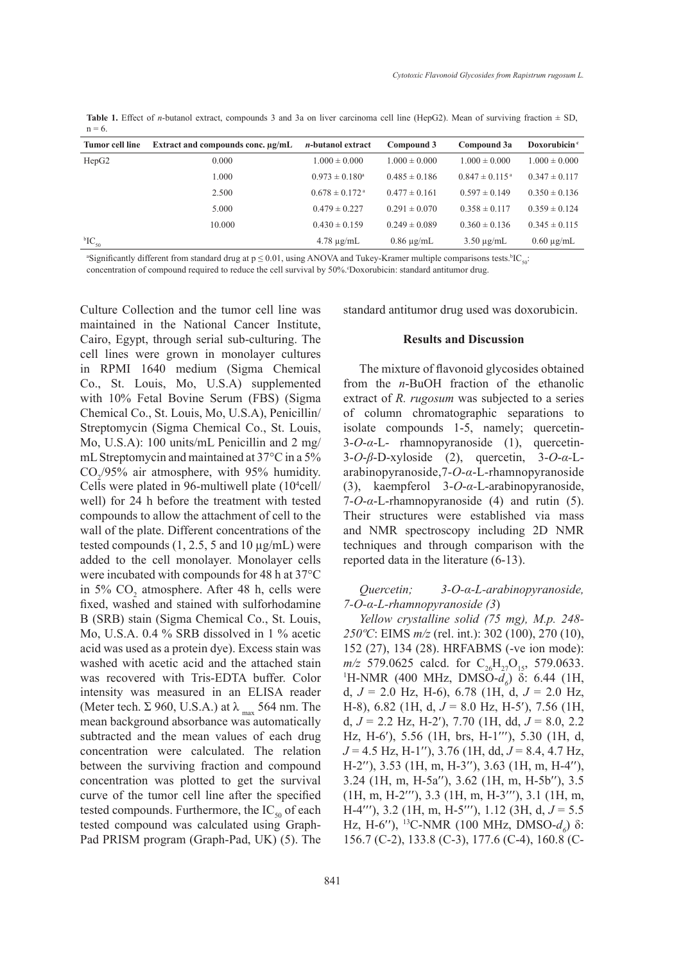Table 1. Effect of *n*-butanol extract, compounds 3 and 3a on liver carcinoma cell line (HepG2). Mean of surviving fraction  $\pm$  SD,  $n = 6$ .

| <b>Tumor cell line</b> | Extract and compounds conc. $\mu$ g/mL | <i>n</i> -butanol extract      | Compound 3        | Compound 3a                    | Doxorubicin <sup>c</sup> |
|------------------------|----------------------------------------|--------------------------------|-------------------|--------------------------------|--------------------------|
| HepG2                  | 0.000                                  | $1.000 \pm 0.000$              | $1.000 \pm 0.000$ | $1.000 \pm 0.000$              | $1.000 \pm 0.000$        |
|                        | 1.000                                  | $0.973 \pm 0.180^{\circ}$      | $0.485 \pm 0.186$ | $0.847 \pm 0.115$ <sup>a</sup> | $0.347 \pm 0.117$        |
|                        | 2.500                                  | $0.678 \pm 0.172$ <sup>a</sup> | $0.477 \pm 0.161$ | $0.597 \pm 0.149$              | $0.350 \pm 0.136$        |
|                        | 5.000                                  | $0.479 \pm 0.227$              | $0.291 \pm 0.070$ | $0.358 \pm 0.117$              | $0.359 \pm 0.124$        |
|                        | 10.000                                 | $0.430 \pm 0.159$              | $0.249 \pm 0.089$ | $0.360 \pm 0.136$              | $0.345 \pm 0.115$        |
| ${}^{\rm b}IC_{50}$    |                                        | $4.78 \mu$ g/mL                | $0.86 \mu g/mL$   | $3.50 \mu g/mL$                | $0.60 \mu$ g/mL          |

"Significantly different from standard drug at  $p \le 0.01$ , using ANOVA and Tukey-Kramer multiple comparisons tests.<sup>b</sup>IC<sub>s0</sub>: concentration of compound required to reduce the cell survival by 50%. Doxorubicin: standard antitumor drug.

Culture Collection and the tumor cell line was maintained in the National Cancer Institute, Cairo, Egypt, through serial sub-culturing. The cell lines were grown in monolayer cultures in RPMI 1640 medium (Sigma Chemical Co., St. Louis, Mo, U.S.A) supplemented with 10% Fetal Bovine Serum (FBS) (Sigma Chemical Co., St. Louis, Mo, U.S.A), Penicillin/ Streptomycin (Sigma Chemical Co., St. Louis, Mo, U.S.A): 100 units/mL Penicillin and 2 mg/ mL Streptomycin and maintained at 37°C in a 5%  $CO<sub>2</sub>/95%$  air atmosphere, with 95% humidity. Cells were plated in 96-multiwell plate (10<sup>4</sup>cell/ well) for 24 h before the treatment with tested compounds to allow the attachment of cell to the wall of the plate. Different concentrations of the tested compounds  $(1, 2.5, 5 \text{ and } 10 \mu\text{g/mL})$  were added to the cell monolayer. Monolayer cells were incubated with compounds for 48 h at 37°C in 5%  $CO<sub>2</sub>$  atmosphere. After 48 h, cells were fixed, washed and stained with sulforhodamine B (SRB) stain (Sigma Chemical Co., St. Louis, Mo, U.S.A. 0.4 % SRB dissolved in 1 % acetic acid was used as a protein dye). Excess stain was washed with acetic acid and the attached stain was recovered with Tris-EDTA buffer. Color intensity was measured in an ELISA reader (Meter tech.  $\Sigma$  960, U.S.A.) at  $\lambda_{\text{max}}$  564 nm. The mean background absorbance was automatically subtracted and the mean values of each drug concentration were calculated. The relation between the surviving fraction and compound concentration was plotted to get the survival curve of the tumor cell line after the specified tested compounds. Furthermore, the  $IC_{50}$  of each tested compound was calculated using Graph-Pad PRISM program (Graph-Pad, UK) (5). The

standard antitumor drug used was doxorubicin.

#### **Results and Discussion**

The mixture of flavonoid glycosides obtained from the *n*-BuOH fraction of the ethanolic extract of *R. rugosum* was subjected to a series of column chromatographic separations to isolate compounds 1-5, namely; quercetin-3-*O*-*α*-L- rhamnopyranoside (1), quercetin-3-*O*-*β*-D-xyloside (2), quercetin, 3-*O*-*α-*Larabinopyranoside,7-*O*-*α*-L-rhamnopyranoside (3), kaempferol 3-*O*-*α-*L-arabinopyranoside, 7-*O*-*α*-L-rhamnopyranoside (4) and rutin (5). Their structures were established via mass and NMR spectroscopy including 2D NMR techniques and through comparison with the reported data in the literature (6-13).

*Quercetin; 3-O-α-L-arabinopyranoside, 7-O-α-L-rhamnopyranoside (3*)

*Yellow crystalline solid (75 mg), M.p. 248- 250ºC*: EIMS *m/z* (rel. int.): 302 (100), 270 (10), 152 (27), 134 (28). HRFABMS (-ve ion mode):  $m/z$  579.0625 calcd. for C<sub>26</sub>H<sub>27</sub>O<sub>15</sub>, 579.0633. H-NMR (400 MHz, DMSO-*d6* ) δ: 6.44 (1H, d, *J* = 2.0 Hz, H-6), 6.78 (1H, d, *J* = 2.0 Hz, H-8), 6.82 (1H, d, *J* = 8.0 Hz, H-5′), 7.56 (1H, d, *J* = 2.2 Hz, H-2′), 7.70 (1H, dd, *J* = 8.0, 2.2 Hz, H-6′), 5.56 (1H, brs, H-1′′′), 5.30 (1H, d, *J* = 4.5 Hz, H-1′′), 3.76 (1H, dd, *J* = 8.4, 4.7 Hz, H-2′′), 3.53 (1H, m, H-3′′), 3.63 (1H, m, H-4′′), 3.24 (1H, m, H-5a′′), 3.62 (1H, m, H-5b′′), 3.5 (1H, m, H-2′′′), 3.3 (1H, m, H-3′′′), 3.1 (1H, m, H-4′′′), 3.2 (1H, m, H-5′′′), 1.12 (3H, d, *J* = 5.5 Hz, H-6''), <sup>13</sup>C-NMR (100 MHz, DMSO- $d_6$ ) δ: 156.7 (C-2), 133.8 (C-3), 177.6 (C-4), 160.8 (C-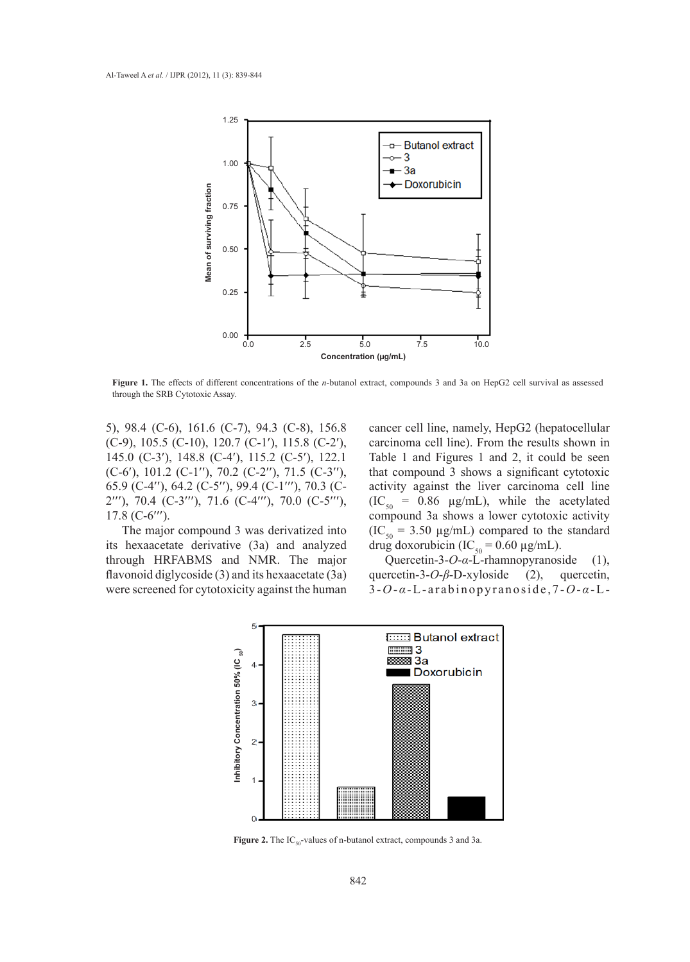

**Figure 1.** The effects of different concentrations of the *n*-butanol extract, compounds 3 and 3a on HepG2 cell survival as assessed through the SRB Cytotoxic Assay.

5), 98.4 (C-6), 161.6 (C-7), 94.3 (C-8), 156.8 (C-9), 105.5 (C-10), 120.7 (C-1′), 115.8 (C-2′), 145.0 (C-3′), 148.8 (C-4′), 115.2 (C-5′), 122.1 (C-6′), 101.2 (C-1′′), 70.2 (C-2′′), 71.5 (C-3′′), 65.9 (C-4′′), 64.2 (C-5′′), 99.4 (C-1′′′), 70.3 (C-2′′′), 70.4 (C-3′′′), 71.6 (C-4′′′), 70.0 (C-5′′′), 17.8 (C-6′′′).

The major compound 3 was derivatized into its hexaacetate derivative (3a) and analyzed through HRFABMS and NMR. The major flavonoid diglycoside (3) and its hexaacetate (3a) were screened for cytotoxicity against the human cancer cell line, namely, HepG2 (hepatocellular carcinoma cell line). From the results shown in Table 1 and Figures 1 and 2, it could be seen that compound 3 shows a significant cytotoxic activity against the liver carcinoma cell line  $(IC_{50} = 0.86 \mu g/mL)$ , while the acetylated compound 3a shows a lower cytotoxic activity  $(IC<sub>50</sub> = 3.50 \mu g/mL)$  compared to the standard drug doxorubicin (IC<sub>50</sub> = 0.60  $\mu$ g/mL).

Quercetin-3-*O*-*α*-L-rhamnopyranoside (1), quercetin-3-*O-β*-D-xyloside (2), quercetin, 3 -*O*-*α -*L-arabinopyranoside,7-*O*-*α*-L-



**Figure 2.** The IC<sub>50</sub>-values of n-butanol extract, compounds 3 and 3a.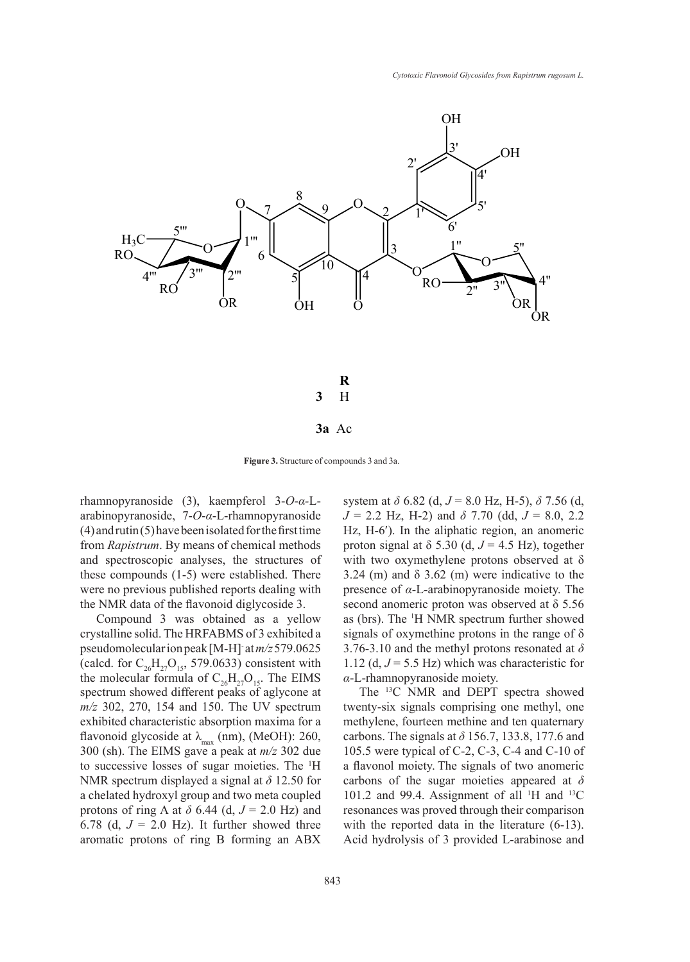

**Figure 3.** Structure of compounds 3 and 3a.

rhamnopyranoside (3), kaempferol 3-*O*-*α-*Larabinopyranoside, 7-*O*-*α*-L-rhamnopyranoside (4) and rutin (5) have been isolated for the first time from *Rapistrum*. By means of chemical methods and spectroscopic analyses, the structures of these compounds (1-5) were established. There were no previous published reports dealing with the NMR data of the flavonoid diglycoside 3.

Compound 3 was obtained as a yellow crystalline solid. The HRFABMS of 3 exhibited a pseudomolecular ion peak [M-H]- at *m/z* 579.0625 (calcd. for  $C_{26}H_{27}O_{15}$ , 579.0633) consistent with the molecular formula of  $C_{26}H_{27}O_{15}$ . The EIMS spectrum showed different peaks of aglycone at *m/z* 302, 270, 154 and 150. The UV spectrum exhibited characteristic absorption maxima for a flavonoid glycoside at  $\lambda_{\text{max}}$  (nm), (MeOH): 260, 300 (sh). The EIMS gave a peak at *m/z* 302 due to successive losses of sugar moieties. The <sup>1</sup> H NMR spectrum displayed a signal at *δ* 12.50 for a chelated hydroxyl group and two meta coupled protons of ring A at  $\delta$  6.44 (d,  $J = 2.0$  Hz) and 6.78 (d,  $J = 2.0$  Hz). It further showed three aromatic protons of ring B forming an ABX

system at *δ* 6.82 (d, *J* = 8.0 Hz, H-5), *δ* 7.56 (d, *J* = 2.2 Hz, H-2) and *δ* 7.70 (dd, *J* = 8.0, 2.2 Hz, H-6′). In the aliphatic region, an anomeric proton signal at  $\delta$  5.30 (d,  $J = 4.5$  Hz), together with two oxymethylene protons observed at  $\delta$ 3.24 (m) and  $\delta$  3.62 (m) were indicative to the presence of *α*-L-arabinopyranoside moiety. The second anomeric proton was observed at δ 5.56 as (brs). The <sup>1</sup> H NMR spectrum further showed signals of oxymethine protons in the range of  $\delta$ 3.76-3.10 and the methyl protons resonated at *δ* 1.12 (d,  $J = 5.5$  Hz) which was characteristic for *α*-L-rhamnopyranoside moiety.

The 13C NMR and DEPT spectra showed twenty-six signals comprising one methyl, one methylene, fourteen methine and ten quaternary carbons. The signals at *δ* 156.7, 133.8, 177.6 and 105.5 were typical of C-2, C-3, C-4 and C-10 of a flavonol moiety. The signals of two anomeric carbons of the sugar moieties appeared at *δ*  101.2 and 99.4. Assignment of all  $^1$ H and  $^{13}$ C resonances was proved through their comparison with the reported data in the literature  $(6-13)$ . Acid hydrolysis of 3 provided L-arabinose and